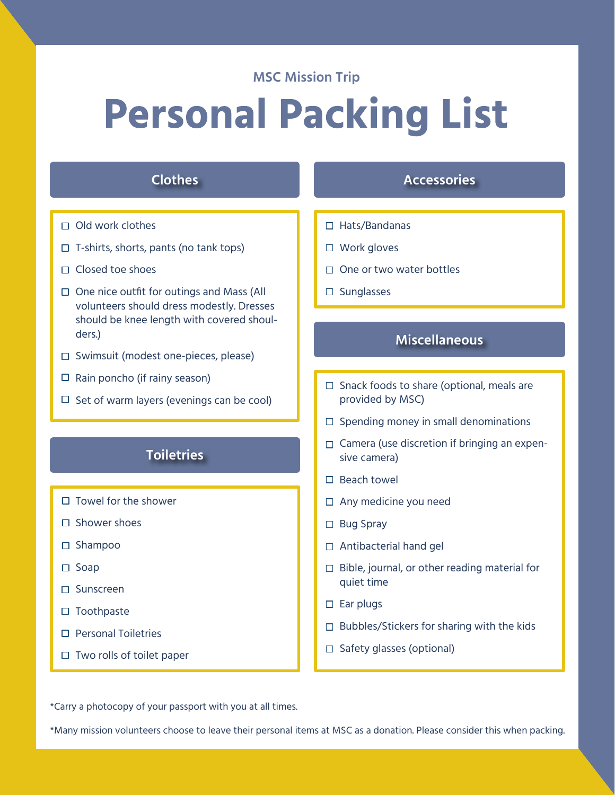#### **MSC Mission Trip**

# **Personal Packing List**

# **Clothes**

- $\Box$  Old work clothes
- $\Box$  T-shirts, shorts, pants (no tank tops)
- $\Box$  Closed toe shoes
- $\Box$  One nice outfit for outings and Mass (All volunteers should dress modestly. Dresses should be knee length with covered shoulders.)
- $\Box$  Swimsuit (modest one-pieces, please)
- $\Box$  Rain poncho (if rainy season)
- $\Box$  Set of warm layers (evenings can be cool)

# **Toiletries**

- $\Box$  Towel for the shower
- $\square$  Shower shoes
- □ Shampoo
- $\square$  Soap
- □ Sunscreen
- $\square$  Toothpaste
- □ Personal Toiletries
- $\Box$  Two rolls of toilet paper

# **Accessories**

- □ Hats/Bandanas
- □ Work gloves
- $\Box$  One or two water bottles
- $\square$  Sunglasses

#### **Miscellaneous**

- $\Box$  Snack foods to share (optional, meals are provided by MSC)
- $\square$  Spending money in small denominations
- $\Box$  Camera (use discretion if bringing an expensive camera)
- $\square$  Beach towel
- □ Any medicine you need
- □ Bug Spray
- □ Antibacterial hand gel
- $\Box$  Bible, journal, or other reading material for quiet time
- $\square$  Ear plugs
- $\Box$  Bubbles/Stickers for sharing with the kids
- $\Box$  Safety glasses (optional)

\*Carry a photocopy of your passport with you at all times.

\*Many mission volunteers choose to leave their personal items at MSC as a donation. Please consider this when packing.